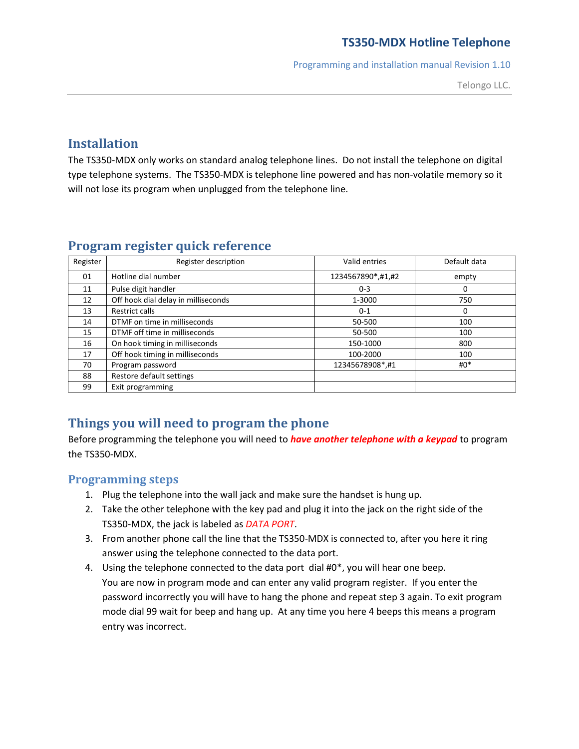Programming and installation manual Revision 1.10

Telongo LLC.

## **Installation**

The TS350-MDX only works on standard analog telephone lines. Do not install the telephone on digital type telephone systems. The TS350-MDX is telephone line powered and has non-volatile memory so it will not lose its program when unplugged from the telephone line.

| Register | Register description                | Valid entries     | Default data |
|----------|-------------------------------------|-------------------|--------------|
| 01       | Hotline dial number                 | 1234567890*,#1,#2 | empty        |
| 11       | Pulse digit handler                 | $0 - 3$           | 0            |
| 12       | Off hook dial delay in milliseconds | 1-3000            | 750          |
| 13       | Restrict calls                      | $0 - 1$           | 0            |
| 14       | DTMF on time in milliseconds        | 50-500            | 100          |
| 15       | DTMF off time in milliseconds       | 50-500            | 100          |
| 16       | On hook timing in milliseconds      | 150-1000          | 800          |
| 17       | Off hook timing in milliseconds     | 100-2000          | 100          |
| 70       | Program password                    | 12345678908*,#1   | $#0^*$       |
| 88       | Restore default settings            |                   |              |
| 99       | Exit programming                    |                   |              |

### **Program register quick reference**

# **Things you will need to program the phone**

Before programming the telephone you will need to *have another telephone with a keypad* to program the TS350-MDX.

#### **Programming steps**

- 1. Plug the telephone into the wall jack and make sure the handset is hung up.
- 2. Take the other telephone with the key pad and plug it into the jack on the right side of the TS350-MDX, the jack is labeled as *DATA PORT*.
- 3. From another phone call the line that the TS350-MDX is connected to, after you here it ring answer using the telephone connected to the data port.
- 4. Using the telephone connected to the data port dial #0\*, you will hear one beep. You are now in program mode and can enter any valid program register. If you enter the password incorrectly you will have to hang the phone and repeat step 3 again. To exit program mode dial 99 wait for beep and hang up. At any time you here 4 beeps this means a program entry was incorrect.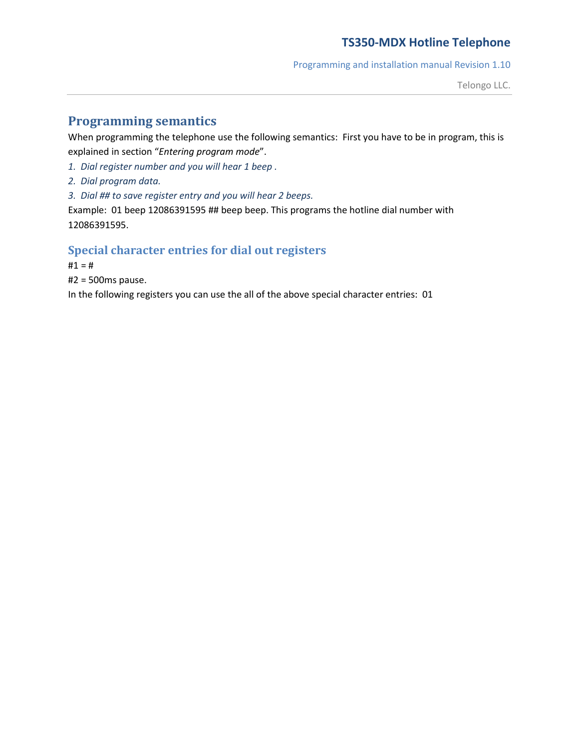Programming and installation manual Revision 1.10

Telongo LLC.

# **Programming semantics**

When programming the telephone use the following semantics: First you have to be in program, this is explained in section "*Entering program mode*".

*1. Dial register number and you will hear 1 beep .*

*2. Dial program data.*

*3. Dial ## to save register entry and you will hear 2 beeps.*

Example: 01 beep 12086391595 ## beep beep. This programs the hotline dial number with 12086391595.

#### **Special character entries for dial out registers**

 $#1 = #$ 

#2 = 500ms pause.

In the following registers you can use the all of the above special character entries: 01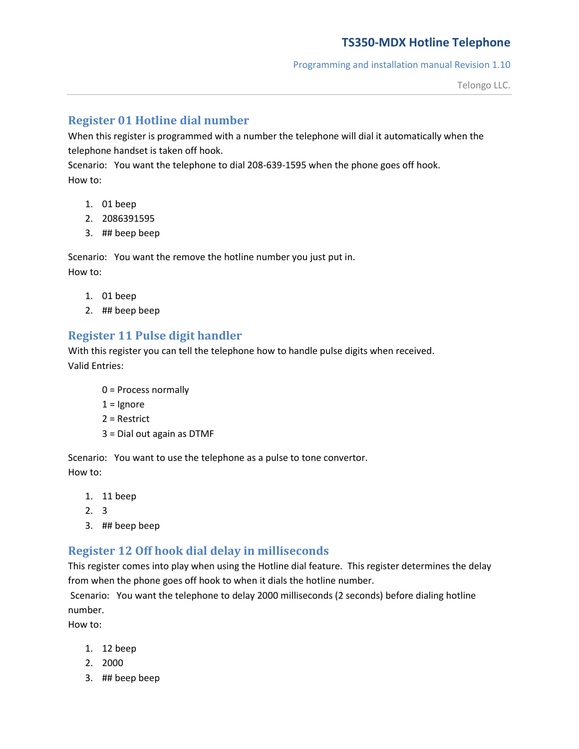Programming and installation manual Revision 1.10

#### **Register 01 Hotline dial number**

When this register is programmed with a number the telephone will dial it automatically when the telephone handset is taken off hook.

Scenario: You want the telephone to dial 208-639-1595 when the phone goes off hook. How to:

- 1. 01 beep
- 2. 2086391595
- 3. ## beep beep

Scenario: You want the remove the hotline number you just put in. How to:

- 1. 01 beep
- 2. ## beep beep

### **Register 11 Pulse digit handler**

With this register you can tell the telephone how to handle pulse digits when received. Valid Entries:

- 0 = Process normally
- $1 =$  Ignore
- 2 = Restrict
- 3 = Dial out again as DTMF

Scenario: You want to use the telephone as a pulse to tone convertor. How to:

- 1. 11 beep
- 2. 3
- 3. ## beep beep

### **Register 12 Off hook dial delay in milliseconds**

This register comes into play when using the Hotline dial feature. This register determines the delay from when the phone goes off hook to when it dials the hotline number.

Scenario: You want the telephone to delay 2000 milliseconds (2 seconds) before dialing hotline number.

How to:

- 1. 12 beep
- 2. 2000
- 3. ## beep beep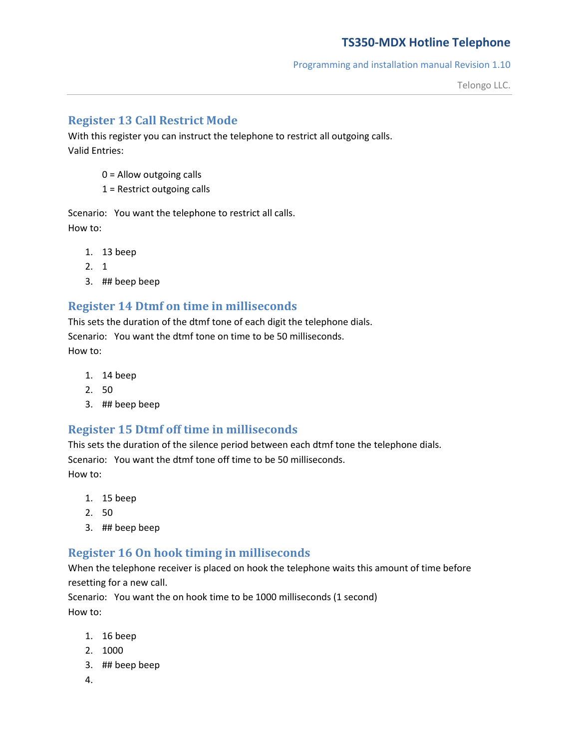Programming and installation manual Revision 1.10

Telongo LLC.

### **Register 13 Call Restrict Mode**

With this register you can instruct the telephone to restrict all outgoing calls. Valid Entries:

- 0 = Allow outgoing calls
- 1 = Restrict outgoing calls

Scenario: You want the telephone to restrict all calls. How to:

- 1. 13 beep
- 2. 1
- 3. ## beep beep

#### **Register 14 Dtmf on time in milliseconds**

This sets the duration of the dtmf tone of each digit the telephone dials. Scenario: You want the dtmf tone on time to be 50 milliseconds. How to:

- 1. 14 beep
- 2. 50
- 3. ## beep beep

### **Register 15 Dtmf off time in milliseconds**

This sets the duration of the silence period between each dtmf tone the telephone dials. Scenario: You want the dtmf tone off time to be 50 milliseconds. How to:

- 1. 15 beep
- 2. 50
- 3. ## beep beep

#### **Register 16 On hook timing in milliseconds**

When the telephone receiver is placed on hook the telephone waits this amount of time before resetting for a new call.

Scenario: You want the on hook time to be 1000 milliseconds (1 second) How to:

- 1. 16 beep
- 2. 1000
- 3. ## beep beep
- 4.